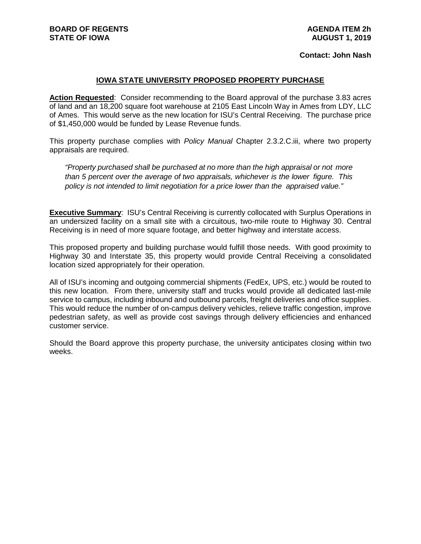## **Contact: John Nash**

## **IOWA STATE UNIVERSITY PROPOSED PROPERTY PURCHASE**

**Action Requested**: Consider recommending to the Board approval of the purchase 3.83 acres of land and an 18,200 square foot warehouse at 2105 East Lincoln Way in Ames from LDY, LLC of Ames. This would serve as the new location for ISU's Central Receiving. The purchase price of \$1,450,000 would be funded by Lease Revenue funds.

This property purchase complies with *Policy Manual* Chapter 2.3.2.C.iii, where two property appraisals are required.

*"Property purchased shall be purchased at no more than the high appraisal or not more than 5 percent over the average of two appraisals, whichever is the lower figure. This policy is not intended to limit negotiation for a price lower than the appraised value."*

**Executive Summary**: ISU's Central Receiving is currently collocated with Surplus Operations in an undersized facility on a small site with a circuitous, two-mile route to Highway 30. Central Receiving is in need of more square footage, and better highway and interstate access.

This proposed property and building purchase would fulfill those needs. With good proximity to Highway 30 and Interstate 35, this property would provide Central Receiving a consolidated location sized appropriately for their operation.

All of ISU's incoming and outgoing commercial shipments (FedEx, UPS, etc.) would be routed to this new location. From there, university staff and trucks would provide all dedicated last-mile service to campus, including inbound and outbound parcels, freight deliveries and office supplies. This would reduce the number of on-campus delivery vehicles, relieve traffic congestion, improve pedestrian safety, as well as provide cost savings through delivery efficiencies and enhanced customer service.

Should the Board approve this property purchase, the university anticipates closing within two weeks.